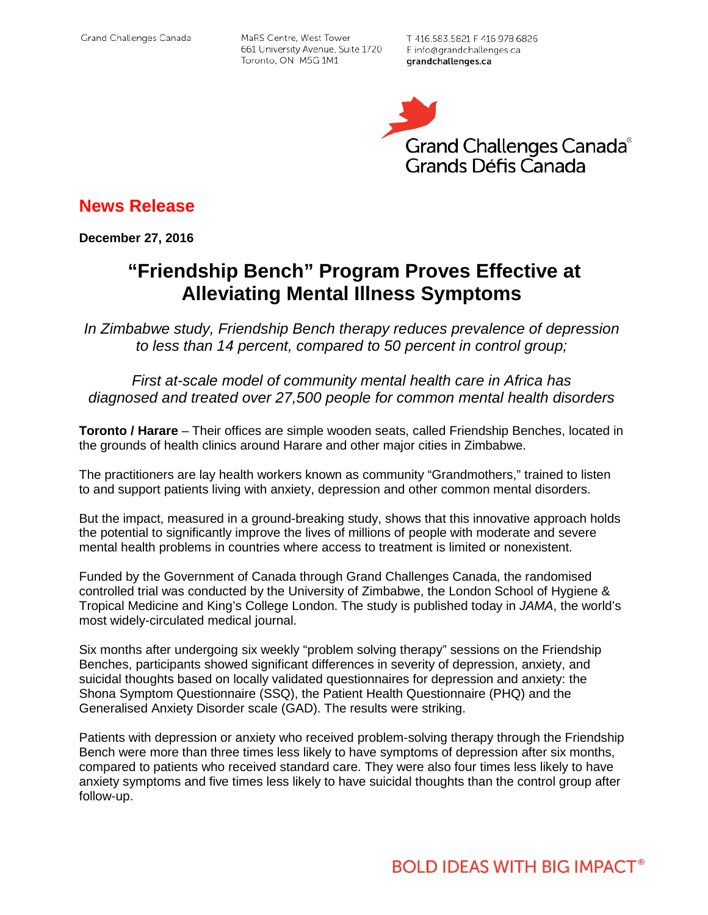MaRS Centre, West Tower 661 University Avenue, Suite 1720 Toronto, ON M5G 1M1

T 416.583.5821 F 416.978.6826 E info@grandchallenges.ca grandchallenges.ca



**News Release**

**December 27, 2016**

## **"Friendship Bench" Program Proves Effective at Alleviating Mental Illness Symptoms**

*In Zimbabwe study, Friendship Bench therapy reduces prevalence of depression to less than 14 percent, compared to 50 percent in control group;*

*First at-scale model of community mental health care in Africa has diagnosed and treated over 27,500 people for common mental health disorders*

**Toronto / Harare** – Their offices are simple wooden seats, called Friendship Benches, located in the grounds of health clinics around Harare and other major cities in Zimbabwe.

The practitioners are lay health workers known as community "Grandmothers," trained to listen to and support patients living with anxiety, depression and other common mental disorders.

But the impact, measured in a ground-breaking study, shows that this innovative approach holds the potential to significantly improve the lives of millions of people with moderate and severe mental health problems in countries where access to treatment is limited or nonexistent.

Funded by the Government of Canada through Grand Challenges Canada, the randomised controlled trial was conducted by the University of Zimbabwe, the London School of Hygiene & Tropical Medicine and King's College London. The study is published today in *JAMA*, the world's most widely-circulated medical journal.

Six months after undergoing six weekly "problem solving therapy" sessions on the Friendship Benches, participants showed significant differences in severity of depression, anxiety, and suicidal thoughts based on locally validated questionnaires for depression and anxiety: the Shona Symptom Questionnaire (SSQ), the Patient Health Questionnaire (PHQ) and the Generalised Anxiety Disorder scale (GAD). The results were striking.

Patients with depression or anxiety who received problem-solving therapy through the Friendship Bench were more than three times less likely to have symptoms of depression after six months, compared to patients who received standard care. They were also four times less likely to have anxiety symptoms and five times less likely to have suicidal thoughts than the control group after follow-up.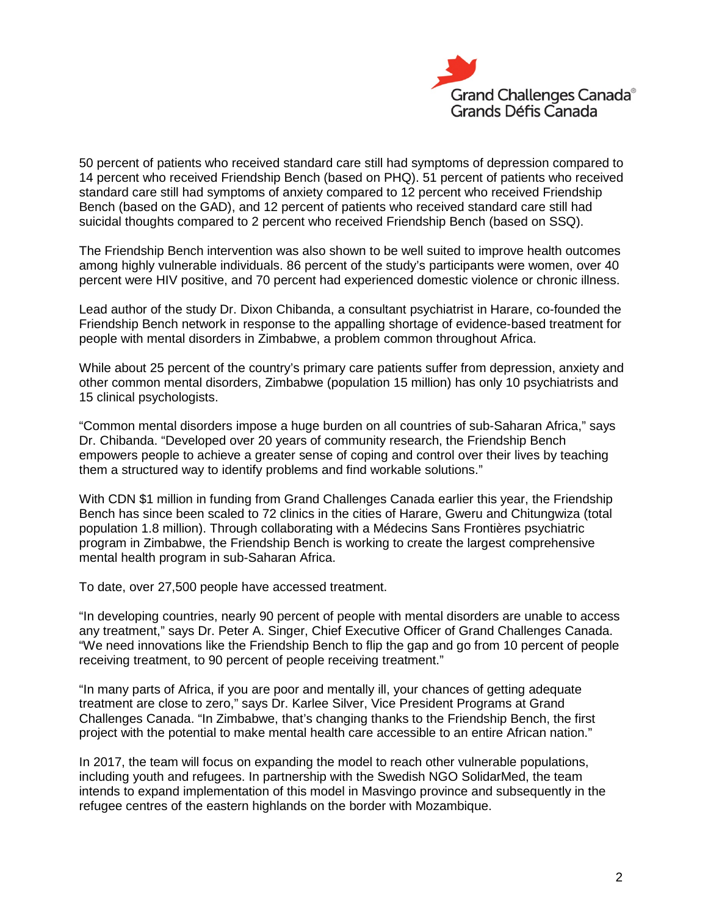

50 percent of patients who received standard care still had symptoms of depression compared to 14 percent who received Friendship Bench (based on PHQ). 51 percent of patients who received standard care still had symptoms of anxiety compared to 12 percent who received Friendship Bench (based on the GAD), and 12 percent of patients who received standard care still had suicidal thoughts compared to 2 percent who received Friendship Bench (based on SSQ).

The Friendship Bench intervention was also shown to be well suited to improve health outcomes among highly vulnerable individuals. 86 percent of the study's participants were women, over 40 percent were HIV positive, and 70 percent had experienced domestic violence or chronic illness.

Lead author of the study Dr. Dixon Chibanda, a consultant psychiatrist in Harare, co-founded the Friendship Bench network in response to the appalling shortage of evidence-based treatment for people with mental disorders in Zimbabwe, a problem common throughout Africa.

While about 25 percent of the country's primary care patients suffer from depression, anxiety and other common mental disorders, Zimbabwe (population 15 million) has only 10 psychiatrists and 15 clinical psychologists.

"Common mental disorders impose a huge burden on all countries of sub-Saharan Africa," says Dr. Chibanda. "Developed over 20 years of community research, the Friendship Bench empowers people to achieve a greater sense of coping and control over their lives by teaching them a structured way to identify problems and find workable solutions."

With CDN \$1 million in funding from Grand Challenges Canada earlier this year, the Friendship Bench has since been scaled to 72 clinics in the cities of Harare, Gweru and Chitungwiza (total population 1.8 million). Through collaborating with a Médecins Sans Frontières psychiatric program in Zimbabwe, the Friendship Bench is working to create the largest comprehensive mental health program in sub-Saharan Africa.

To date, over 27,500 people have accessed treatment.

"In developing countries, nearly 90 percent of people with mental disorders are unable to access any treatment," says Dr. Peter A. Singer, Chief Executive Officer of Grand Challenges Canada. "We need innovations like the Friendship Bench to flip the gap and go from 10 percent of people receiving treatment, to 90 percent of people receiving treatment."

"In many parts of Africa, if you are poor and mentally ill, your chances of getting adequate treatment are close to zero," says Dr. Karlee Silver, Vice President Programs at Grand Challenges Canada. "In Zimbabwe, that's changing thanks to the Friendship Bench, the first project with the potential to make mental health care accessible to an entire African nation."

In 2017, the team will focus on expanding the model to reach other vulnerable populations, including youth and refugees. In partnership with the Swedish NGO SolidarMed, the team intends to expand implementation of this model in Masvingo province and subsequently in the refugee centres of the eastern highlands on the border with Mozambique.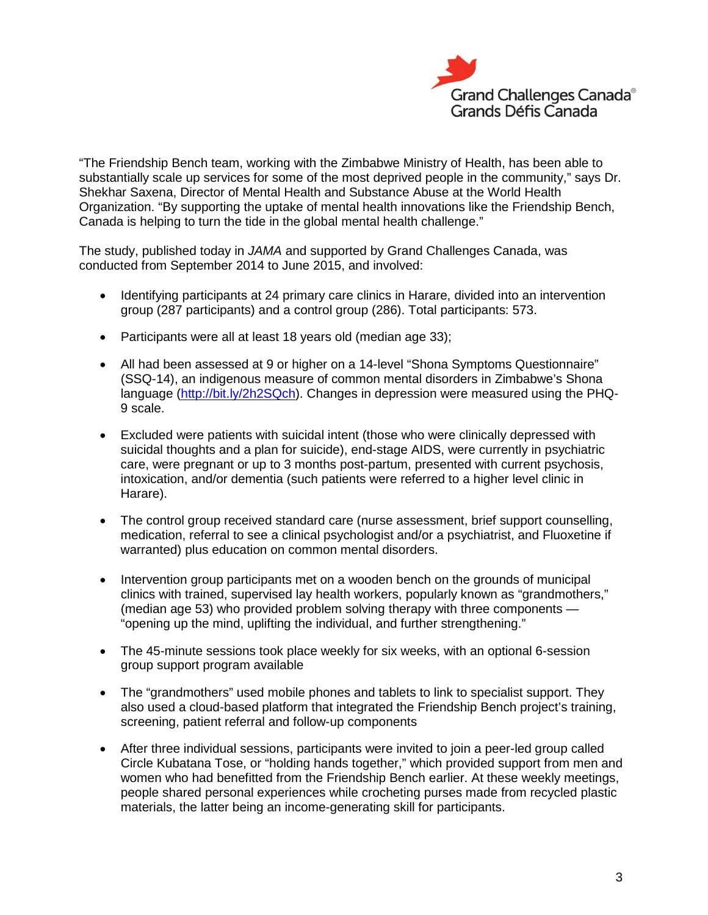

"The Friendship Bench team, working with the Zimbabwe Ministry of Health, has been able to substantially scale up services for some of the most deprived people in the community," says Dr. Shekhar Saxena, Director of Mental Health and Substance Abuse at the World Health Organization. "By supporting the uptake of mental health innovations like the Friendship Bench, Canada is helping to turn the tide in the global mental health challenge."

The study, published today in *JAMA* and supported by Grand Challenges Canada, was conducted from September 2014 to June 2015, and involved:

- Identifying participants at 24 primary care clinics in Harare, divided into an intervention group (287 participants) and a control group (286). Total participants: 573.
- Participants were all at least 18 years old (median age 33);
- All had been assessed at 9 or higher on a 14-level "Shona Symptoms Questionnaire" (SSQ-14), an indigenous measure of common mental disorders in Zimbabwe's Shona language [\(http://bit.ly/2h2SQch\)](http://bit.ly/2h2SQch). Changes in depression were measured using the PHQ-9 scale.
- Excluded were patients with suicidal intent (those who were clinically depressed with suicidal thoughts and a plan for suicide), end-stage AIDS, were currently in psychiatric care, were pregnant or up to 3 months post-partum, presented with current psychosis, intoxication, and/or dementia (such patients were referred to a higher level clinic in Harare).
- The control group received standard care (nurse assessment, brief support counselling, medication, referral to see a clinical psychologist and/or a psychiatrist, and Fluoxetine if warranted) plus education on common mental disorders.
- Intervention group participants met on a wooden bench on the grounds of municipal clinics with trained, supervised lay health workers, popularly known as "grandmothers," (median age 53) who provided problem solving therapy with three components — "opening up the mind, uplifting the individual, and further strengthening."
- The 45-minute sessions took place weekly for six weeks, with an optional 6-session group support program available
- The "grandmothers" used mobile phones and tablets to link to specialist support. They also used a cloud-based platform that integrated the Friendship Bench project's training, screening, patient referral and follow-up components
- After three individual sessions, participants were invited to join a peer-led group called Circle Kubatana Tose, or "holding hands together," which provided support from men and women who had benefitted from the Friendship Bench earlier. At these weekly meetings, people shared personal experiences while crocheting purses made from recycled plastic materials, the latter being an income-generating skill for participants.